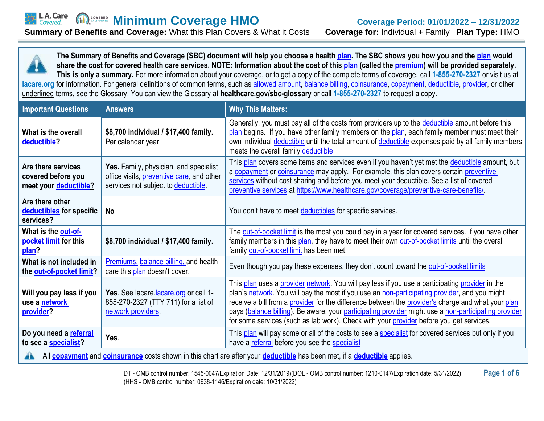

| <b>Important Questions</b>                                                                                                                                | <b>Answers</b>                                                                                                             | <b>Why This Matters:</b>                                                                                                                                                                                                                                                                                                                                                                                                                                                                                  |  |
|-----------------------------------------------------------------------------------------------------------------------------------------------------------|----------------------------------------------------------------------------------------------------------------------------|-----------------------------------------------------------------------------------------------------------------------------------------------------------------------------------------------------------------------------------------------------------------------------------------------------------------------------------------------------------------------------------------------------------------------------------------------------------------------------------------------------------|--|
| What is the overall<br>deductible?                                                                                                                        | \$8,700 individual / \$17,400 family.<br>Per calendar year                                                                 | Generally, you must pay all of the costs from providers up to the deductible amount before this<br>plan begins. If you have other family members on the plan, each family member must meet their<br>own individual deductible until the total amount of deductible expenses paid by all family members<br>meets the overall family deductible                                                                                                                                                             |  |
| Are there services<br>covered before you<br>meet your deductible?                                                                                         | Yes. Family, physician, and specialist<br>office visits, preventive care, and other<br>services not subject to deductible. | This plan covers some items and services even if you haven't yet met the deductible amount, but<br>a copayment or coinsurance may apply. For example, this plan covers certain preventive<br>services without cost sharing and before you meet your deductible. See a list of covered<br>preventive services at https://www.healthcare.gov/coverage/preventive-care-benefits/                                                                                                                             |  |
| Are there other<br>deductibles for specific<br>services?                                                                                                  | <b>No</b>                                                                                                                  | You don't have to meet deductibles for specific services.                                                                                                                                                                                                                                                                                                                                                                                                                                                 |  |
| What is the out-of-<br>pocket limit for this<br>plan?                                                                                                     | \$8,700 individual / \$17,400 family.                                                                                      | The out-of-pocket limit is the most you could pay in a year for covered services. If you have other<br>family members in this plan, they have to meet their own out-of-pocket limits until the overall<br>family out-of-pocket limit has been met.                                                                                                                                                                                                                                                        |  |
| What is not included in<br>the out-of-pocket limit?                                                                                                       | Premiums, balance billing, and health<br>care this plan doesn't cover.                                                     | Even though you pay these expenses, they don't count toward the out-of-pocket limits                                                                                                                                                                                                                                                                                                                                                                                                                      |  |
| Will you pay less if you<br>use a network<br>provider?                                                                                                    | Yes. See lacare lacare org or call 1-<br>855-270-2327 (TTY 711) for a list of<br>network providers.                        | This plan uses a provider network. You will pay less if you use a participating provider in the<br>plan's network. You will pay the most if you use an non-participating provider, and you might<br>receive a bill from a provider for the difference between the provider's charge and what your plan<br>pays (balance billing). Be aware, your participating provider might use a non-participating provider<br>for some services (such as lab work). Check with your provider before you get services. |  |
| Do you need a referral<br>to see a specialist?                                                                                                            | Yes.                                                                                                                       | This plan will pay some or all of the costs to see a specialist for covered services but only if you<br>have a referral before you see the specialist                                                                                                                                                                                                                                                                                                                                                     |  |
| All <b>copayment</b> and <b>coinsurance</b> costs shown in this chart are after your <b>deductible</b> has been met, if a <b>deductible</b> applies.<br>A |                                                                                                                            |                                                                                                                                                                                                                                                                                                                                                                                                                                                                                                           |  |

DT - OMB control number: 1545-0047/Expiration Date: 12/31/2019)(DOL - OMB control number: 1210-0147/Expiration date: 5/31/2022) **Page 1 of 6**  (HHS - OMB control number: 0938-1146/Expiration date: 10/31/2022)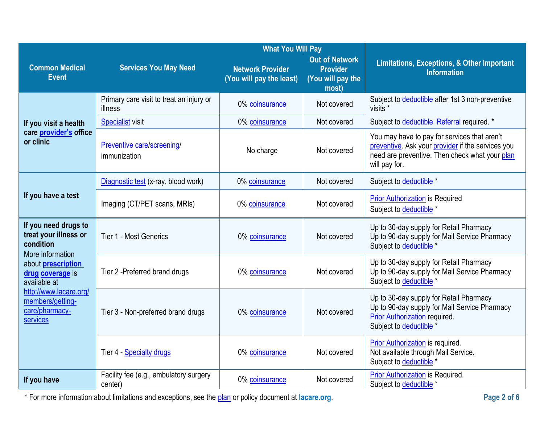|                                                                                                                                           | <b>What You Will Pay</b>                            |                                                     |                                                                        |                                                                                                                                                                      |
|-------------------------------------------------------------------------------------------------------------------------------------------|-----------------------------------------------------|-----------------------------------------------------|------------------------------------------------------------------------|----------------------------------------------------------------------------------------------------------------------------------------------------------------------|
| <b>Common Medical</b><br><b>Event</b>                                                                                                     | <b>Services You May Need</b>                        | <b>Network Provider</b><br>(You will pay the least) | <b>Out of Network</b><br><b>Provider</b><br>(You will pay the<br>most) | <b>Limitations, Exceptions, &amp; Other Important</b><br><b>Information</b>                                                                                          |
|                                                                                                                                           | Primary care visit to treat an injury or<br>illness | 0% coinsurance                                      | Not covered                                                            | Subject to deductible after 1st 3 non-preventive<br>visits *                                                                                                         |
| If you visit a health                                                                                                                     | <b>Specialist visit</b>                             | 0% coinsurance                                      | Not covered                                                            | Subject to deductible Referral required. *                                                                                                                           |
| care provider's office<br>or clinic                                                                                                       | Preventive care/screening/<br>immunization          | No charge                                           | Not covered                                                            | You may have to pay for services that aren't<br>preventive. Ask your provider if the services you<br>need are preventive. Then check what your plan<br>will pay for. |
|                                                                                                                                           | Diagnostic test (x-ray, blood work)                 | 0% coinsurance                                      | Not covered                                                            | Subject to deductible *                                                                                                                                              |
| If you have a test                                                                                                                        | Imaging (CT/PET scans, MRIs)                        | 0% coinsurance                                      | Not covered                                                            | <b>Prior Authorization</b> is Required<br>Subject to deductible *                                                                                                    |
| If you need drugs to<br>treat your illness or<br>condition<br>More information                                                            | Tier 1 - Most Generics                              | 0% coinsurance                                      | Not covered                                                            | Up to 30-day supply for Retail Pharmacy<br>Up to 90-day supply for Mail Service Pharmacy<br>Subject to deductible *                                                  |
| about <b>prescription</b><br>drug coverage is<br>available at<br>http://www.lacare.org/<br>members/getting-<br>care/pharmacy-<br>services | Tier 2 - Preferred brand drugs                      | 0% coinsurance                                      | Not covered                                                            | Up to 30-day supply for Retail Pharmacy<br>Up to 90-day supply for Mail Service Pharmacy<br>Subject to deductible *                                                  |
|                                                                                                                                           | Tier 3 - Non-preferred brand drugs                  | 0% coinsurance                                      | Not covered                                                            | Up to 30-day supply for Retail Pharmacy<br>Up to 90-day supply for Mail Service Pharmacy<br>Prior Authorization required.<br>Subject to deductible *                 |
|                                                                                                                                           | Tier 4 - Specialty drugs                            | 0% coinsurance                                      | Not covered                                                            | Prior Authorization is required.<br>Not available through Mail Service.<br>Subject to deductible *                                                                   |
| If you have                                                                                                                               | Facility fee (e.g., ambulatory surgery<br>center)   | 0% coinsurance                                      | Not covered                                                            | <b>Prior Authorization is Required.</b><br>Subject to deductible *                                                                                                   |

\* For more information about limitations and exceptions, see the [plan](https://www.healthcare.gov/sbc-glossary/#plan) or policy document at lacare.org.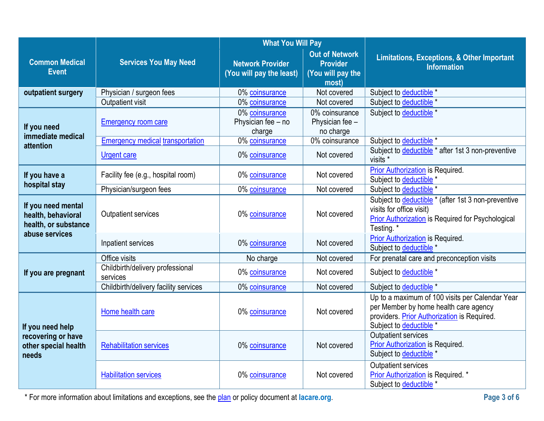|                                                                  |                                              | <b>What You Will Pay</b>                            |                                                                        |                                                                                                                                                                    |
|------------------------------------------------------------------|----------------------------------------------|-----------------------------------------------------|------------------------------------------------------------------------|--------------------------------------------------------------------------------------------------------------------------------------------------------------------|
| <b>Common Medical</b><br><b>Event</b>                            | <b>Services You May Need</b>                 | <b>Network Provider</b><br>(You will pay the least) | <b>Out of Network</b><br><b>Provider</b><br>(You will pay the<br>most) | <b>Limitations, Exceptions, &amp; Other Important</b><br><b>Information</b>                                                                                        |
| outpatient surgery                                               | Physician / surgeon fees<br>Outpatient visit | 0% coinsurance<br>0% coinsurance                    | Not covered<br>Not covered                                             | Subject to deductible *<br>Subject to deductible *                                                                                                                 |
| If you need<br>immediate medical                                 | <b>Emergency room care</b>                   | 0% coinsurance<br>Physician fee - no<br>charge      | 0% coinsurance<br>Physician fee -<br>no charge                         | Subject to deductible *                                                                                                                                            |
| attention                                                        | <b>Emergency medical transportation</b>      | 0% coinsurance                                      | 0% coinsurance                                                         | Subject to deductible *                                                                                                                                            |
|                                                                  | <b>Urgent care</b>                           | 0% coinsurance                                      | Not covered                                                            | Subject to deductible * after 1st 3 non-preventive<br>visits *                                                                                                     |
| If you have a                                                    | Facility fee (e.g., hospital room)           | 0% coinsurance                                      | Not covered                                                            | <b>Prior Authorization</b> is Required.<br>Subject to deductible *                                                                                                 |
| hospital stay                                                    | Physician/surgeon fees                       | 0% coinsurance                                      | Not covered                                                            | Subject to deductible *                                                                                                                                            |
| If you need mental<br>health, behavioral<br>health, or substance | <b>Outpatient services</b>                   | 0% coinsurance                                      | Not covered                                                            | Subject to deductible * (after 1st 3 non-preventive<br>visits for office visit)<br><b>Prior Authorization</b> is Required for Psychological<br>Testing. *          |
| abuse services                                                   | Inpatient services                           | 0% coinsurance                                      | Not covered                                                            | Prior Authorization is Required.<br>Subject to deductible *                                                                                                        |
|                                                                  | Office visits                                | No charge                                           | Not covered                                                            | For prenatal care and preconception visits                                                                                                                         |
| If you are pregnant                                              | Childbirth/delivery professional<br>services | 0% coinsurance                                      | Not covered                                                            | Subject to deductible *                                                                                                                                            |
|                                                                  | Childbirth/delivery facility services        | 0% coinsurance                                      | Not covered                                                            | Subject to deductible *                                                                                                                                            |
| If you need help                                                 | Home health care                             | 0% coinsurance                                      | Not covered                                                            | Up to a maximum of 100 visits per Calendar Year<br>per Member by home health care agency<br>providers. Prior Authorization is Required.<br>Subject to deductible * |
| recovering or have<br>other special health<br>needs              | <b>Rehabilitation services</b>               | 0% coinsurance                                      | Not covered                                                            | Outpatient services<br><b>Prior Authorization</b> is Required.<br>Subject to deductible *                                                                          |
|                                                                  | <b>Habilitation services</b>                 | 0% coinsurance                                      | Not covered                                                            | <b>Outpatient services</b><br>Prior Authorization is Required. *<br>Subject to deductible *                                                                        |

\* For more information about limitations and exceptions, see the [plan](https://www.healthcare.gov/sbc-glossary/#plan) or policy document at [lacare.org](https://lacare.org).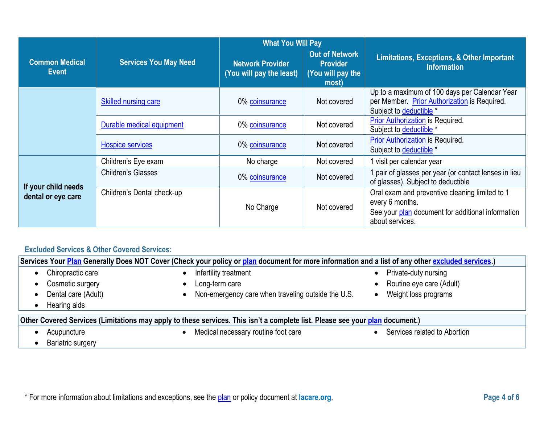|                                           |                              | <b>What You Will Pay</b>                            |                                                                        |                                                                                                                                           |
|-------------------------------------------|------------------------------|-----------------------------------------------------|------------------------------------------------------------------------|-------------------------------------------------------------------------------------------------------------------------------------------|
| <b>Common Medical</b><br><b>Event</b>     | <b>Services You May Need</b> | <b>Network Provider</b><br>(You will pay the least) | <b>Out of Network</b><br><b>Provider</b><br>(You will pay the<br>most) | <b>Limitations, Exceptions, &amp; Other Important</b><br><b>Information</b>                                                               |
|                                           | <b>Skilled nursing care</b>  | 0% coinsurance                                      | Not covered                                                            | Up to a maximum of 100 days per Calendar Year<br>per Member. Prior Authorization is Required.<br>Subject to deductible *                  |
|                                           | Durable medical equipment    | 0% coinsurance                                      | Not covered                                                            | <b>Prior Authorization is Required.</b><br>Subject to deductible *                                                                        |
|                                           | <b>Hospice services</b>      | 0% coinsurance                                      | Not covered                                                            | <b>Prior Authorization is Required.</b><br>Subject to deductible *                                                                        |
|                                           | Children's Eye exam          | No charge                                           | Not covered                                                            | l visit per calendar year                                                                                                                 |
|                                           | Children's Glasses           | 0% coinsurance                                      | Not covered                                                            | I pair of glasses per year (or contact lenses in lieu<br>of glasses). Subject to deductible                                               |
| If your child needs<br>dental or eye care | Children's Dental check-up   | No Charge                                           | Not covered                                                            | Oral exam and preventive cleaning limited to 1<br>every 6 months.<br>See your plan document for additional information<br>about services. |

# **Excluded Services & Other Covered Services:**

| Services Your Plan Generally Does NOT Cover (Check your policy or plan document for more information and a list of any other excluded services.) |                                                                                                                              |                              |  |
|--------------------------------------------------------------------------------------------------------------------------------------------------|------------------------------------------------------------------------------------------------------------------------------|------------------------------|--|
| Chiropractic care<br>$\bullet$                                                                                                                   | Infertility treatment                                                                                                        | Private-duty nursing         |  |
| Cosmetic surgery<br>$\bullet$                                                                                                                    | Long-term care                                                                                                               | Routine eye care (Adult)     |  |
| Dental care (Adult)<br>$\bullet$                                                                                                                 | Non-emergency care when traveling outside the U.S.                                                                           | Weight loss programs         |  |
| Hearing aids<br>$\bullet$                                                                                                                        |                                                                                                                              |                              |  |
|                                                                                                                                                  | Other Covered Services (Limitations may apply to these services. This isn't a complete list. Please see your plan document.) |                              |  |
| Acupuncture                                                                                                                                      | Medical necessary routine foot care                                                                                          | Services related to Abortion |  |

• Bariatric surgery

\* For more information about limitations and exceptions, see the [plan](https://www.healthcare.gov/sbc-glossary/#plan) or policy document at [lacare.org](https://lacare.org).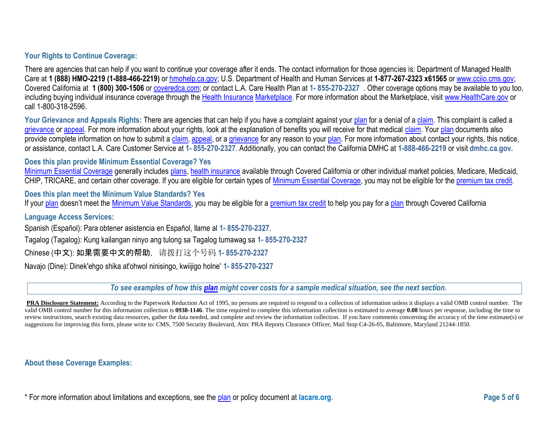### **Your Rights to Continue Coverage:**

 Covered California at **1 (800) 300-1506** o[r coveredca.com;](https://www.coveredca.com/) or contact L.A. Care Health Plan at **1- 855-270-2327** . Other coverage options may be available to you too, There are agencies that can help if you want to continue your coverage after it ends. The contact information for those agencies is: Department of Managed Health Care at **1 (888) HMO-2219 (1-888-466-2219)** o[r hmohelp.ca.gov;](http://www.hmohelp.ca.gov/) U.S. Department of Health and Human Services at **1-877-267-2323 x61565** o[r www.cciio.cms.gov;](file://///barstow/Product%20Management/!%202019%20CGPM%20Shared%20Folder/Product%20Portfolio%20Management/2021%20Cycle/LACC/03.%20EOC%20Bundles/SBC/www.cciio.cms.gov%20) including buying individual insurance coverage through the [Health Insurance](file://///barstow/Product%20Management/!%202019%20CGPM%20Shared%20Folder/Product%20Portfolio%20Management/2021%20Cycle/LACC/03.%20EOC%20Bundles/SBC/Health%20Insurance) [Marketplace.](https://www.healthcare.gov/sbc-glossary/#marketplace) For more information about the Marketplace, visit [www.HealthCare.gov](file://///barstow/Product%20Management/!%202019%20CGPM%20Shared%20Folder/Product%20Portfolio%20Management/2021%20Cycle/LACC/03.%20EOC%20Bundles/SBC/www.HealthCare.gov%20) or call 1-800-318-2596.

Your Grievance and Appeals Rights: There are agencies that can help if you have a complaint against your [plan](https://www.healthcare.gov/sbc-glossary/#plan) for a denial of [a claim.](https://www.healthcare.gov/sbc-glossary/#claim) This complaint is called a [grievance o](https://www.healthcare.gov/sbc-glossary/#grievance)r [appeal.](https://www.healthcare.gov/sbc-glossary/#appeal) For more information about your rights, look at the explanation of benefits you will receive for that medical [claim.](https://www.healthcare.gov/sbc-glossary/#claim) You[r plan d](https://www.healthcare.gov/sbc-glossary/#plan)ocuments also provide complete information on how to submit a [claim,](https://www.healthcare.gov/sbc-glossary/#claim) [appeal,](https://www.healthcare.gov/sbc-glossary/#appeal) or a [grievance f](https://www.healthcare.gov/sbc-glossary/#grievance)or any reason to your [plan.](https://www.healthcare.gov/sbc-glossary/#plan) For more information about contact your rights, this notice, or assistance, contact L.A. Care Customer Service at **1- 855-270-2327**. Additionally, you can contact the California DMHC at **1-888-466-2219** or visit **[dmhc.ca.gov](https://dmhc.ca.gov).** 

#### **Does this plan provide Minimum Essential Coverage? Yes**

[Minimum Essential Coverage g](https://www.healthcare.gov/sbc-glossary/#minimum-essential-coverage)enerally includes [plans,](https://www.healthcare.gov/sbc-glossary/#plan) [health insurance](https://www.healthcare.gov/sbc-glossary/#health-insurance) available through Covered California or other individual market policies, Medicare, Medicaid, CHIP, TRICARE, and certain other coverage. If you are eligible for certain types of [Minimum Essential Coverage,](https://www.healthcare.gov/sbc-glossary/#minimum-essential-coverage) you may not be eligible for the [premium tax credit.](https://www.healthcare.gov/sbc-glossary/#premium-tax-credits)

**Does this plan meet the Minimum Value Standards? Yes** 

If your [plan](https://www.healthcare.gov/sbc-glossary/#plan) doesn't meet the [Minimum Value Standards,](https://www.healthcare.gov/sbc-glossary/#minimum-value-standard) you may be eligible for a [premium tax credit t](https://www.healthcare.gov/sbc-glossary/#premium-tax-credits)o help you pay for a [plan t](https://www.healthcare.gov/sbc-glossary/#plan)hrough Covered California

#### **Language Access Services:**

Spanish (Español): Para obtener asistencia en Español, llame al **1- 855-270-2327**.

Tagalog (Tagalog): Kung kailangan ninyo ang tulong sa Tagalog tumawag sa **1- 855-270-2327** 

Chinese (中文): 如果需要中文的帮助, 请拨打这个号码 **1- 855-270-2327** 

Navajo (Dine): Dinek'ehgo shika at'ohwol ninisingo, kwiijigo holne' **1- 855-270-2327** 

*To see examples of how thi[s plan](https://www.healthcare.gov/sbc-glossary/#plan) might cover costs for a sample medical situation, see the next section.* 

review instructions, search existing data resources, gather the data needed, and complete and review the information collection. If you have comments concerning the accuracy of the time estimate(s) or PRA Disclosure Statement: According to the Paperwork Reduction Act of 1995, no persons are required to respond to a collection of information unless it displays a valid OMB control number. The valid OMB control number for this information collection is **0938-1146**. The time required to complete this information collection is estimated to average **0.08** hours per response, including the time to suggestions for improving this form, please write to: CMS, 7500 Security Boulevard, Attn: PRA Reports Clearance Officer, Mail Stop C4-26-05, Baltimore, Maryland 21244-1850.

#### **About these Coverage Examples:**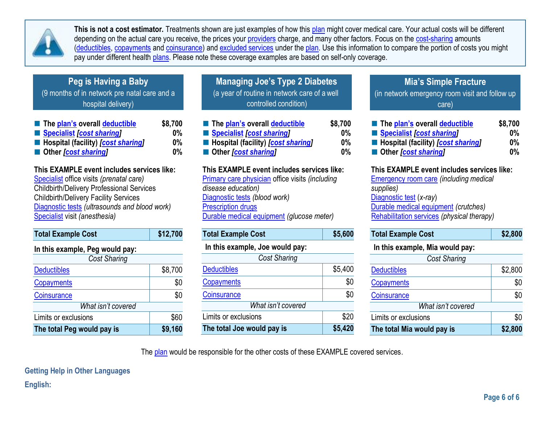

**This is not a cost estimator.** Treatments shown are just examples of how this [plan](https://www.healthcare.gov/sbc-glossary/#plan) might cover medical care. Your actual costs will be different depending on the actual care you receive, the prices your [providers](https://www.healthcare.gov/sbc-glossary/#provider) charge, and many other factors. Focus on the [cost-sharing](https://www.healthcare.gov/sbc-glossary/#cost-sharing) amounts [\(deductibles,](https://www.healthcare.gov/sbc-glossary/#deductible) [copayments](https://www.healthcare.gov/sbc-glossary/#copayment) an[d coinsurance\)](https://www.healthcare.gov/sbc-glossary/#coinsurance) and [excluded services](https://www.healthcare.gov/sbc-glossary/#excluded-services) under the [plan.](https://www.healthcare.gov/sbc-glossary/#plan) Use this information to compare the portion of costs you might pay under different health [plans.](https://www.healthcare.gov/sbc-glossary/#plan) Please note these coverage examples are based on self-only coverage.

# **Peg is Having a Baby**

(9 months of in network pre natal care and a  $\Box$  (a year of routine in network care of a well  $\Box$  (in hospital delivery)

| The plan's overall deductible               | \$8,700 |
|---------------------------------------------|---------|
| Specialist [cost sharing]                   | $0\%$   |
| ■ Hospital (facility) <i>[cost sharing]</i> | $0\%$   |
| ■ Other <i>[cost sharing]</i>               | $0\%$   |

# **This EXAMPLE event includes services like:**

[Specialist](https://www.healthcare.gov/sbc-glossary/#specialist) office visits *(prenatal care)*  Childbirth/Delivery Professional Services Childbirth/Delivery Facility Services [Diagnostic tests](https://www.healthcare.gov/sbc-glossary/#diagnostic-test) *(ultrasounds and blood work)*  [Specialist](https://www.healthcare.gov/sbc-glossary/#specialist) visit *(anesthesia)* 

| <b>Total Example Cost</b>       | \$12,700 | <b>Total Example Cost</b> |
|---------------------------------|----------|---------------------------|
| In this example, Peg would pay: |          | In this example, Jo       |
| <b>Cost Sharing</b>             |          | С                         |
| <b>Deductibles</b>              | \$8,700  | <b>Deductibles</b>        |
| Copayments                      | \$0      | Copayments                |
| Coinsurance                     | \$0      | Coinsurance               |
| What isn't covered              |          | Wha                       |
| Limits or exclusions            | \$60     | Limits or exclusions      |
| The total Peg would pay is      | \$9,160  | The total Joe would       |

| <b>Managing Joe's Type 2 Diabetes</b>        |
|----------------------------------------------|
| (a year of routine in network care of a well |
| controlled condition)                        |

| ■ The plan's overall deductible             | \$8,700   |
|---------------------------------------------|-----------|
| Specialist [cost sharing]                   | $0\%$     |
| ■ Hospital (facility) <i>[cost sharing]</i> | <b>0%</b> |
| ■ Other <i>[cost sharing]</i>               | $0\%$     |

### **This EXAMPLE event includes services like:**

**Prescription drugs** [Primary care physician](https://www.healthcare.gov/sbc-glossary/#primary-care-physician) office visits *(including disease education)*  [Diagnostic tests](https://www.healthcare.gov/sbc-glossary/#diagnostic-test) *(blood work)*  [Durable medical equipment](https://www.healthcare.gov/sbc-glossary/#durable-medical-equipment) *(glucose meter)* 

| <b>Total Example Cost</b>       | \$5,600 |
|---------------------------------|---------|
| In this example, Joe would pay: |         |
| <b>Cost Sharing</b>             |         |
| <b>Deductibles</b>              | \$5,400 |
| Copayments                      | \$0     |
| <b>Coinsurance</b>              | \$0     |
| What isn't covered              |         |
| Limits or exclusions            | \$20    |
| The total Joe would pay is      | \$5,420 |

# **Mia's Simple Fracture**

(in network emergency room visit and follow up care)

| The plan's overall deductible               | \$8,700 |
|---------------------------------------------|---------|
| Specialist <i>[cost sharing]</i>            | $0\%$   |
| ■ Hospital (facility) <i>[cost sharing]</i> | $0\%$   |
| Other <i>cost sharing</i>                   | $0\%$   |

# **This EXAMPLE event includes services like:**

[Emergency room care](https://www.healthcare.gov/sbc-glossary/#emergency-room-care-emergency-services) *(including medical supplies)*  [Diagnostic test](https://www.healthcare.gov/sbc-glossary/#diagnostic-test) (*x-ray*) [Durable medical equipment](https://www.healthcare.gov/sbc-glossary/#durable-medical-equipment) *(crutches)*  [Rehabilitation services](https://www.healthcare.gov/sbc-glossary/#rehabilitation-services) *(physical therapy)* 

| <b>Total Example Cost</b> | \$2,800 |
|---------------------------|---------|
|---------------------------|---------|

### **In this example, Mia would pay:**

|      | Cost Sharing               |         |
|------|----------------------------|---------|
| 400  | <b>Deductibles</b>         | \$2,800 |
| \$0  | Copayments                 | \$0     |
| \$0  | Coinsurance                | \$0     |
|      | What isn't covered         |         |
| \$20 | Limits or exclusions       | \$0     |
| 420  | The total Mia would pay is | \$2,800 |

The [plan](https://www.healthcare.gov/sbc-glossary/#plan) would be responsible for the other costs of these EXAMPLE covered services.

**Getting Help in Other Languages English:**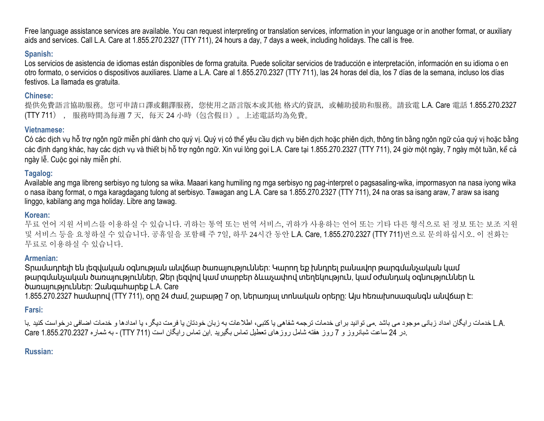Free language assistance services are available. You can request interpreting or translation services, information in your language or in another format, or auxiliary aids and services. Call L.A. Care at 1.855.270.2327 (TTY 711), 24 hours a day, 7 days a week, including holidays. The call is free.

### **Spanish:**

Los servicios de asistencia de idiomas están disponibles de forma gratuita. Puede solicitar servicios de traducción e interpretación, información en su idioma o en otro formato, o servicios o dispositivos auxiliares. Llame a L.A. Care al 1.855.270.2327 (TTY 711), las 24 horas del día, los 7 días de la semana, incluso los días festivos. La llamada es gratuita.

#### **Chinese:**

提供免費語言協助服務。您可申請口譯或翻譯服務,您使用之語言版本或其他 格式的資訊,或輔助援助和服務。請致電 L.A. Care 電話 1.855.270.2327 (TTY 711) , 服務時間為每週 7 天,每天 24 小時(包含假日)。上述電話均為免費。

### **Vietnamese:**

 Có các dịch vụ hỗ trợ ngôn ngữ miễn phí dành cho quý vị. Quý vị có thể yêu cầu dịch vụ biên dịch hoặc phiên dịch, thông tin bằng ngôn ngữ của quý vị hoặc bằng các định dạng khác, hay các dịch vụ và thiết bị hỗ trợ ngôn ngữ. Xin vui lòng gọi L.A. Care tại 1.855.270.2327 (TTY 711), 24 giờ một ngày, 7 ngày một tuần, kể cả ngày lễ. Cuộc gọi này miễn phí.

### **Tagalog:**

Available ang mga libreng serbisyo ng tulong sa wika. Maaari kang humiling ng mga serbisyo ng pag-interpret o pagsasaling-wika, impormasyon na nasa iyong wika o nasa ibang format, o mga karagdagang tulong at serbisyo. Tawagan ang L.A. Care sa 1.855.270.2327 (TTY 711), 24 na oras sa isang araw, 7 araw sa isang linggo, kabilang ang mga holiday. Libre ang tawag.

#### **Korean:**

 무료 언어 지원 서비스를 이용하실 수 있습니다. 귀하는 통역 또는 번역 서비스, 귀하가 사용하는 언어 또는 기타 다른 형식으로 된 정보 또는 보조 지원 및 서비스 등을 요청하실 수 있습니다. 공휴일을 포함해 주 7일, 하루 24시간 동안 L.A. Care, 1.855.270.2327 (TTY 711)번으로 문의하십시오. 이 전화는 무료로 이용하실 수 있습니다.

### **Armenian:**

 Տրամադրելի են լեզվական օգնության անվճար ծառայություններ: Կարող եք խնդրել բանավոր թարգմանչական կամ թարգմանչական ծառայություններ, Ձեր լեզվով կամ տարբեր ձևաչափով տեղեկություն, կամ օժանդակ օգնություններ և ծառայություններ: Զանգահարեք L.A. Care

1.855.270.2327 համարով (TTY 711), օրը 24 ժամ, շաբաթը 7 օր, ներառյալ տոնական օրերը: Այս հեռախոսազանգն անվճար է:

# **Farsi:**

.L.A خدمات رایگان امداد زبانی موجود می باشد .می توانید برای خدمات ترجمه شفاهی یا کتبی، اطلاعات به زبان خودتان یا فرمت دیگر، یا امدادها و خدمات اضافی درخواست کنید .با .در 24 ساعت شبانروز و 7 روز هفته شامل روزهای تعطیل تماس بگیرید .این تماس رایگان است (711 TTY) - به شماره 2327.270.2327 Care

### **Russian:**